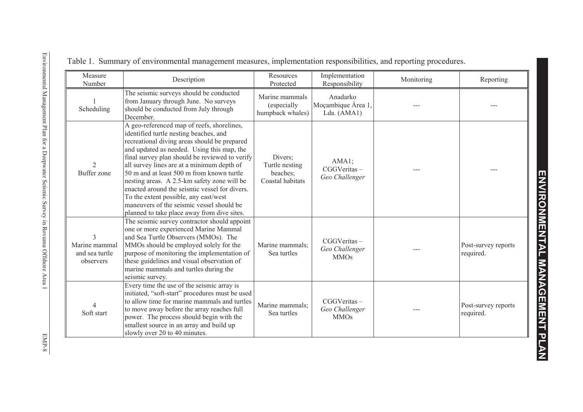| Measure<br>Number                            | Description                                                                                                                                                                                                                                                                                                                                                                                                                                                                                                                                                          | Resources<br>Protected                                    | Implementation<br>Responsibility              | Monitoring | Reporting                        |
|----------------------------------------------|----------------------------------------------------------------------------------------------------------------------------------------------------------------------------------------------------------------------------------------------------------------------------------------------------------------------------------------------------------------------------------------------------------------------------------------------------------------------------------------------------------------------------------------------------------------------|-----------------------------------------------------------|-----------------------------------------------|------------|----------------------------------|
| Scheduling                                   | The seismic surveys should be conducted<br>from January through June. No surveys<br>should be conducted from July through<br>December.                                                                                                                                                                                                                                                                                                                                                                                                                               | Marine mammals<br>(especially<br>humpback whales)         | Anadarko<br>Moçambique Área 1,<br>Lda. (AMA1) |            |                                  |
| 2<br>Buffer zone                             | A geo-referenced map of reefs, shorelines,<br>identified turtle nesting beaches, and<br>recreational diving areas should be prepared<br>and updated as needed. Using this map, the<br>final survey plan should be reviewed to verify<br>all survey lines are at a minimum depth of<br>50 m and at least 500 m from known turtle<br>nesting areas. A 2.5-km safety zone will be<br>enacted around the seismic vessel for divers.<br>To the extent possible, any east/west<br>maneuvers of the seismic vessel should be<br>planned to take place away from dive sites. | Divers;<br>Turtle nesting<br>beaches;<br>Coastal habitats | AMA1;<br>CGGVeritas-<br>Geo Challenger        |            |                                  |
| Marine mammal<br>and sea turtle<br>observers | The seismic survey contractor should appoint<br>one or more experienced Marine Mammal<br>and Sea Turtle Observers (MMOs). The<br>MMOs should be employed solely for the<br>purpose of monitoring the implementation of<br>these guidelines and visual observation of<br>marine mammals and turtles during the<br>seismic survey.                                                                                                                                                                                                                                     | Marine mammals:<br>Sea turtles                            | CGGVeritas-<br>Geo Challenger<br><b>MMOs</b>  |            | Post-survey reports<br>required. |
| Soft start                                   | Every time the use of the seismic array is<br>initiated, "soft-start" procedures must be used<br>to allow time for marine mammals and turtles<br>to move away before the array reaches full<br>power. The process should begin with the<br>smallest source in an array and build up<br>slowly over 20 to 40 minutes.                                                                                                                                                                                                                                                 | Marine mammals:<br>Sea turtles                            | CGGVeritas-<br>Geo Challenger<br><b>MMOs</b>  |            | Post-survey reports<br>required. |

## Table 1. Summary of environmental management measures, implementation responsibilities, and reporting procedures.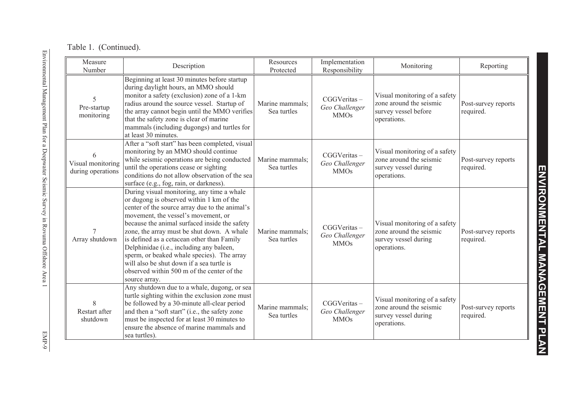| Measure<br>Number                      | Description                                                                                                                                                                                                                                                                                                                                                                                                                                                                                                                        | Resources<br>Protected         | Implementation<br>Responsibility             | Monitoring                                                                                      | Reporting                        |
|----------------------------------------|------------------------------------------------------------------------------------------------------------------------------------------------------------------------------------------------------------------------------------------------------------------------------------------------------------------------------------------------------------------------------------------------------------------------------------------------------------------------------------------------------------------------------------|--------------------------------|----------------------------------------------|-------------------------------------------------------------------------------------------------|----------------------------------|
| 5<br>Pre-startup<br>monitoring         | Beginning at least 30 minutes before startup<br>during daylight hours, an MMO should<br>monitor a safety (exclusion) zone of a 1-km<br>radius around the source vessel. Startup of<br>the array cannot begin until the MMO verifies<br>that the safety zone is clear of marine<br>mammals (including dugongs) and turtles for<br>at least 30 minutes.                                                                                                                                                                              | Marine mammals:<br>Sea turtles | CGGVeritas-<br>Geo Challenger<br><b>MMOs</b> | Visual monitoring of a safety<br>zone around the seismic<br>survey vessel before<br>operations. | Post-survey reports<br>required. |
| Visual monitoring<br>during operations | After a "soft start" has been completed, visual<br>monitoring by an MMO should continue<br>while seismic operations are being conducted<br>until the operations cease or sighting<br>conditions do not allow observation of the sea<br>surface (e.g., fog, rain, or darkness).                                                                                                                                                                                                                                                     | Marine mammals;<br>Sea turtles | CGGVeritas-<br>Geo Challenger<br><b>MMOs</b> | Visual monitoring of a safety<br>zone around the seismic<br>survey vessel during<br>operations. | Post-survey reports<br>required. |
| Array shutdown                         | During visual monitoring, any time a whale<br>or dugong is observed within 1 km of the<br>center of the source array due to the animal's<br>movement, the vessel's movement, or<br>because the animal surfaced inside the safety<br>zone, the array must be shut down. A whale<br>is defined as a cetacean other than Family<br>Delphinidae (i.e., including any baleen,<br>sperm, or beaked whale species). The array<br>will also be shut down if a sea turtle is<br>observed within 500 m of the center of the<br>source array. | Marine mammals;<br>Sea turtles | CGGVeritas-<br>Geo Challenger<br><b>MMOs</b> | Visual monitoring of a safety<br>zone around the seismic<br>survey vessel during<br>operations. | Post-survey reports<br>required. |
| 8<br>Restart after<br>shutdown         | Any shutdown due to a whale, dugong, or sea<br>turtle sighting within the exclusion zone must<br>be followed by a 30-minute all-clear period<br>and then a "soft start" (i.e., the safety zone<br>must be inspected for at least 30 minutes to<br>ensure the absence of marine mammals and<br>sea turtles).                                                                                                                                                                                                                        | Marine mammals:<br>Sea turtles | CGGVeritas-<br>Geo Challenger<br><b>MMOs</b> | Visual monitoring of a safety<br>zone around the seismic<br>survey vessel during<br>operations. | Post-survey reports<br>required. |

**ENVIRONMENTAL MANAGEMENT PLAN**

ENVIRONMENTAL MANAGEMENT PLAN